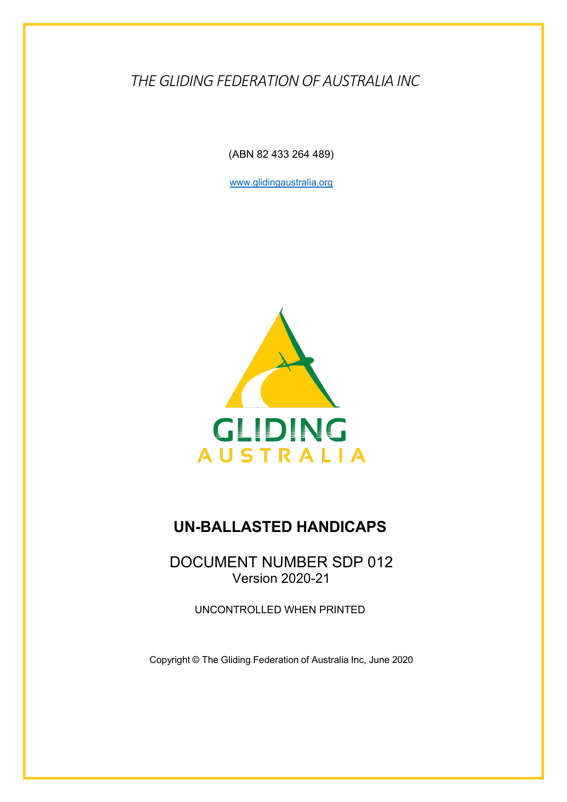*THE GLIDING FEDERATION OF AUSTRALIA INC*

(ABN 82 433 264 489)

www.glidingaustralia.org



## **UN-BALLASTED HANDICAPS**

DOCUMENT NUMBER SDP 012 Version 2020-21

UNCONTROLLED WHEN PRINTED

Copyright © The Gliding Federation of Australia Inc, June 2020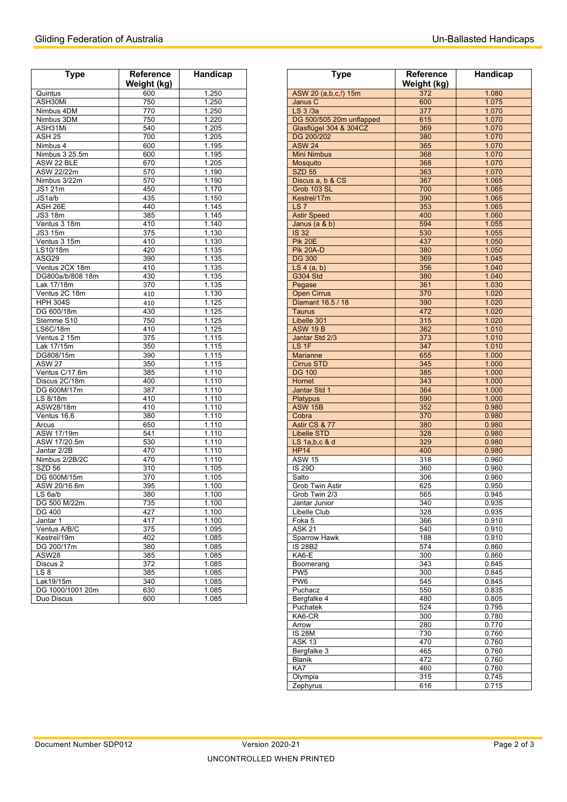| <b>Type</b>         | Reference        | Handicap |  |
|---------------------|------------------|----------|--|
|                     | Weight (kg)      |          |  |
| Quintus             | 600              | 1.250    |  |
| ASH30Mi             | 750              | 1.250    |  |
| Nimbus 4DM          | 770              | 1.250    |  |
| Nimbus 3DM          | 750              | 1.220    |  |
| ASH31Mi             | 540              | 1.205    |  |
| <b>ASH 25</b>       | 700              | 1.205    |  |
| Nimbus 4            | 600              | 1.195    |  |
| Nimbus 3 25.5m      | 600              | 1.195    |  |
| ASW 22 BLE          | 670              | 1.205    |  |
| ASW 22/22m          | 570              | 1.190    |  |
| Nimbus 3/22m        | 570              | 1.190    |  |
| JS1 21m             | 450              | 1.170    |  |
| JS1a/b              | 435              | 1.150    |  |
| ASH <sub>26E</sub>  | 440              | 1.145    |  |
| JS3 18m             | 385              | 1.145    |  |
| Ventus 3 18m        | 410              | 1.140    |  |
| <b>JS3 15m</b>      | 375              | 1.130    |  |
| Ventus 3 15m        | 410              | 1.130    |  |
|                     | 420              |          |  |
| LS10/18m            |                  | 1.135    |  |
| ASG29               | 390              | 1.135    |  |
| Ventus 2CX 18m      | 410              | 1.135    |  |
| DG800a/b/808 18m    | 430              | 1.135    |  |
| Lak 17/18m          | 370              | 1.135    |  |
| Ventus 2C 18m       | 410              | 1.130    |  |
| <b>HPH 304S</b>     | 410              | 1.125    |  |
| DG 600/18m          | 430              | 1.125    |  |
| Stemme S10          | 750              | 1.125    |  |
| LS6C/18m            | 410              | 1.125    |  |
| Ventus 2 15m        | $\overline{375}$ | 1.115    |  |
| Lak 17/15m          | 350              | 1.115    |  |
| DG808/15m           | 390              | 1.115    |  |
| <b>ASW 27</b>       | 350              | 1.115    |  |
| Ventus C/17.6m      | 385              | 1.110    |  |
| Discus 2C/18m       | 400              | 1.110    |  |
| DG 600M/17m         | 387              | 1.110    |  |
| LS 8/18m            | 410              | 1.110    |  |
| ASW28/18m           | 410              | 1.110    |  |
| Ventus 16.6         | 380              | 1.110    |  |
| Arcus               | 650              | 1.110    |  |
| ASW 17/19m          | 541              | 1.110    |  |
| ASW 17/20.5m        | 530              | 1.110    |  |
| Jantar 2/2B         | 470              | 1.110    |  |
| Nimbus 2/2B/2C      | 470              | 1.110    |  |
| SZD 56              | 310              | 1.105    |  |
| DG 600M/15m         | 370              | 1.105    |  |
| ASW 20/16.6m        |                  |          |  |
|                     | 395              | 1.100    |  |
| LS 6a/b             | 380              | 1.100    |  |
| DG 500 M/22m        | 735              | 1.100    |  |
| <b>DG 400</b>       | 427              | 1.100    |  |
| Jantar 1            | 417              | 1.100    |  |
| Ventus A/B/C        | 375              | 1.095    |  |
| Kestrel/19m         | 402              | 1.085    |  |
| DG 200/17m          | 380              | 1.085    |  |
| ASW28               | 385              | 1.085    |  |
| Discus <sub>2</sub> | 372              | 1.085    |  |
| LS 8                | 385              | 1.085    |  |
| Lak19/15m           | 340              | 1.085    |  |
| DG 1000/1001 20m    | 630              | 1.085    |  |
| Duo Discus          | 600              | 1.085    |  |

| <b>Type</b>           | Reference<br>Weight (kg) | Handicap       | <b>Type</b>                        | <b>Reference</b><br>Weight (kg) | Handicap       |
|-----------------------|--------------------------|----------------|------------------------------------|---------------------------------|----------------|
| Quintus               | 600                      | 1.250          | ASW 20 (a,b,c,f) 15m               | 372                             | 1.080          |
| ASH30Mi               | 750                      | 1.250          | Janus C                            | 600                             | 1.075          |
| Nimbus 4DM            | 770                      | 1.250          | LS 3/3a                            | 377                             | 1.070          |
| Nimbus 3DM            | 750                      | 1.220          | DG 500/505 20m unflapped           | 615                             | 1.070          |
| ASH31Mi               | 540                      | 1.205          | Glasflügel 304 & 304CZ             | 369                             | 1.070          |
| ASH <sub>25</sub>     | 700                      | 1.205          | DG 200/202                         | 380                             | 1.070          |
| Nimbus 4              | 600                      | 1.195          | <b>ASW 24</b>                      | 365                             | 1.070          |
| Nimbus 3 25.5m        | 600                      | 1.195          | <b>Mini Nimbus</b>                 | 368                             | 1.070          |
| ASW 22 BLE            | 670                      | 1.205          | Mosquito                           | 368                             | 1.070          |
| ASW 22/22m            | 570                      | 1.190          | <b>SZD 55</b>                      | 363                             | 1.070          |
| Nimbus 3/22m          | 570                      | 1.190          | Discus a, b & CS                   | 367                             | 1.065          |
| JS1 21m               | 450                      | 1.170          | Grob 103 SL                        | 700                             | 1.065          |
| JS1a/b                | 435                      | 1.150          | Kestrel/17m                        | 390                             | 1.065          |
| ASH 26E               | 440                      | 1.145          | LS <sub>7</sub>                    | 353                             | 1.065          |
| JS3 18m               | 385                      | 1.145          | <b>Astir Speed</b>                 | 400                             | 1.060          |
| Ventus 3 18m          | 410                      | 1.140          | Janus (a & b)                      | 594                             | 1.055          |
| JS3 15m               | 375                      | 1.130          | <b>IS 32</b>                       | 530                             | 1.055          |
| Ventus 3 15m          | 410<br>420               | 1.130<br>1.135 | <b>Pik 20E</b><br><b>Pik 20A-D</b> | 437                             | 1.050          |
| LS10/18m<br>ASG29     | 390                      | 1.135          | <b>DG 300</b>                      | 380<br>369                      | 1.050<br>1.045 |
| Ventus 2CX 18m        | 410                      | 1.135          | LS $4(a, b)$                       | 356                             | 1.040          |
| DG800a/b/808 18m      | 430                      | 1.135          | <b>G304 Std</b>                    | 380                             | 1.040          |
| Lak 17/18m            | 370                      | 1.135          | Pegase                             | 361                             | 1.030          |
| Ventus 2C 18m         | 410                      | 1.130          | <b>Open Cirrus</b>                 | 370                             | 1.020          |
| <b>HPH 304S</b>       | 410                      | 1.125          | Diamant 16.5 / 18                  | 390                             | 1.020          |
| DG 600/18m            | 430                      | 1.125          | <b>Taurus</b>                      | 472                             | 1.020          |
| Stemme S10            | 750                      | 1.125          | Libelle 301                        | 315                             | 1.020          |
| LS6C/18m              | 410                      | 1.125          | <b>ASW 19 B</b>                    | 362                             | 1.010          |
| Ventus 2 15m          | 375                      | 1.115          | Jantar Std 2/3                     | 373                             | 1.010          |
| Lak 17/15m            | 350                      | 1.115          | LS 1F                              | 347                             | 1.010          |
| DG808/15m             | 390                      | 1.115          | <b>Marianne</b>                    | 655                             | 1.000          |
| <b>ASW 27</b>         | 350                      | 1.115          | <b>Cirrus STD</b>                  | 345                             | 1.000          |
| Ventus C/17.6m        | 385                      | 1.110          | <b>DG 100</b>                      | 385                             | 1.000          |
| Discus 2C/18m         | 400                      | 1.110          | Hornet                             | 343                             | 1.000          |
| DG 600M/17m           | 387                      | 1.110          | Jantar Std 1                       | 364                             | 1.000          |
| LS 8/18m              | 410                      | 1.110          | <b>Platypus</b>                    | 590                             | 1.000          |
| ASW28/18m             | 410                      | 1.110          | <b>ASW 15B</b>                     | 352                             | 0.980          |
| Ventus 16.6           | 380                      | 1.110          | Cobra                              | 370                             | 0.980          |
| Arcus                 | 650                      | 1.110          | Astir CS & 77                      | 380                             | 0.980          |
| ASW 17/19m            | 541                      | 1.110          | <b>Libelle STD</b>                 | 328                             | 0.980          |
| ASW 17/20.5m          | 530                      | 1.110          | LS 1a, b, c & d                    | 329                             | 0.980          |
| Jantar 2/2B           | 470                      | 1.110          | <b>HP14</b>                        | 400                             | 0.980          |
| Nimbus 2/2B/2C        | 470                      | 1.110          | <b>ASW 15</b>                      | 318                             | 0.960          |
| SZD 56<br>DG 600M/15m | 310<br>$\overline{370}$  | 1.105<br>1.105 | <b>IS 29D</b><br>Salto             | 360<br>306                      | 0.960<br>0.960 |
| ASW 20/16.6m          | 395                      | 1.100          | Grob Twin Astir                    | 625                             | 0.950          |
| LS <sub>6a/b</sub>    | 380                      | 1.100          | Grob Twin 2/3                      | 565                             | 0.945          |
| DG 500 M/22m          | 735                      | 1.100          | Jantar Junior                      | 340                             | 0.935          |
| DG 400                | 427                      | 1.100          | Libelle Club                       | 328                             | 0.935          |
| Jantar 1              | 417                      | 1.100          | Foka 5                             | 366                             | 0.910          |
| Ventus A/B/C          | 375                      | 1.095          | <b>ASK 21</b>                      | 540                             | 0.910          |
| Kestrel/19m           | 402                      | 1.085          | Sparrow Hawk                       | 188                             | 0.910          |
| DG 200/17m            | 380                      | 1.085          | <b>IS 28B2</b>                     | 574                             | 0.860          |
| ASW28                 | 385                      | 1.085          | KA6-E                              | 300                             | 0.860          |
| Discus 2              | 372                      | 1.085          | Boomerang                          | 343                             | 0.845          |
| LS 8                  | 385                      | 1.085          | PW <sub>5</sub>                    | 300                             | 0.845          |
| Lak19/15m             | 340                      | 1.085          | PW <sub>6</sub>                    | 545                             | 0.845          |
| DG 1000/1001 20m      | 630                      | 1.085          | Puchacz                            | 550                             | 0.835          |
| Duo Discus            | 600                      | 1.085          | Bergfalke 4                        | 480                             | 0.805          |
|                       |                          |                | Puchatek                           | 524                             | 0.795          |
|                       |                          |                | KA6-CR                             | 300                             | 0.780          |
|                       |                          |                | Arrow                              | 280                             | 0.770          |
|                       |                          |                | <b>IS 28M</b>                      | 730                             | 0.760          |
|                       |                          |                | <b>ASK 13</b>                      | 470<br>465                      | 0.760          |
|                       |                          |                | Bergfalke 3<br>Blanik              | 472                             | 0.760<br>0.760 |
|                       |                          |                | KA7                                | 460                             | 0.760          |
|                       |                          |                | Olympia                            | 315                             | 0.745          |
|                       |                          |                | Zephyrus                           | 616                             | 0.715          |
|                       |                          |                |                                    |                                 |                |